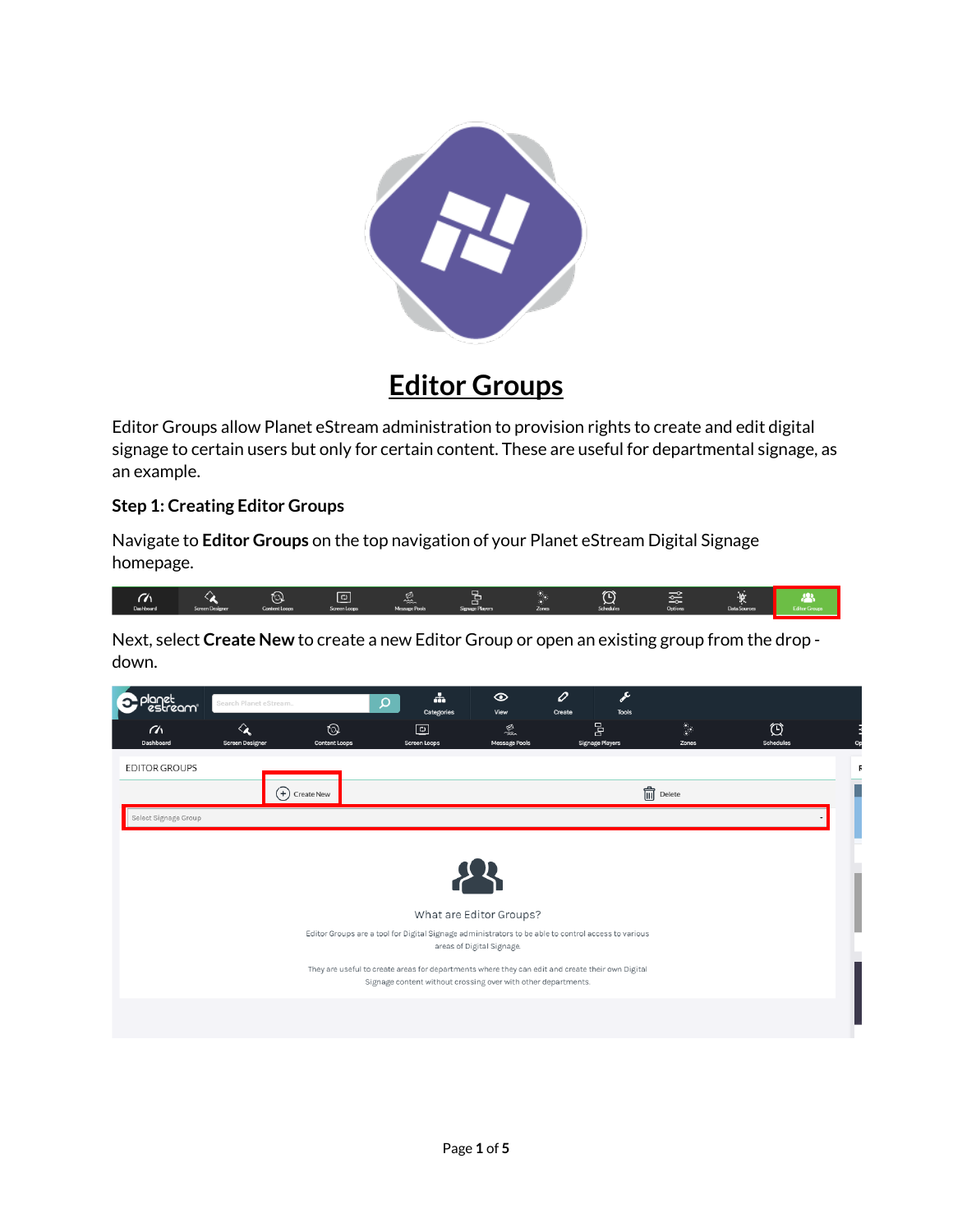

# **Editor Groups**

Editor Groups allow Planet eStream administration to provision rights to create and edit digital signage to certain users but only for certain content. These are useful for departmental signage, as an example.

# **Step 1: Creating Editor Groups**

Navigate to **Editor Groups** on the top navigation of your Planet eStream Digital Signage homepage.



Next, select **Create New** to create a new Editor Group or open an existing group from the drop down.

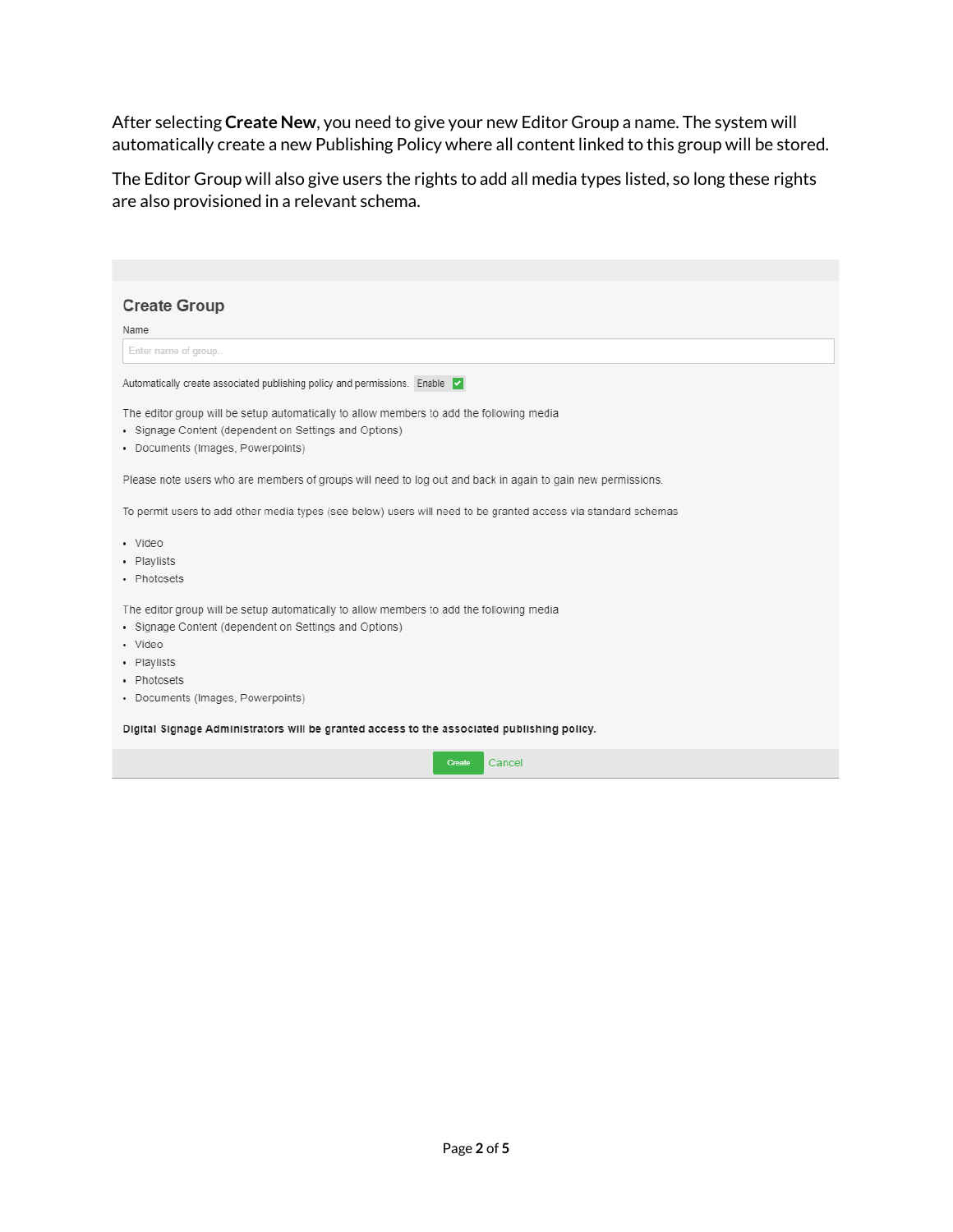After selecting **Create New**, you need to give your new Editor Group a name. The system will automatically create a new Publishing Policy where all content linked to this group will be stored.

The Editor Group will also give users the rights to add all media types listed, so long these rights are also provisioned in a relevant schema.

| <b>Create Group</b>                                                                                                                                                                    |
|----------------------------------------------------------------------------------------------------------------------------------------------------------------------------------------|
| Name                                                                                                                                                                                   |
| Enter name of group                                                                                                                                                                    |
| Automatically create associated publishing policy and permissions. Enable                                                                                                              |
| The editor group will be setup automatically to allow members to add the following media<br>• Signage Content (dependent on Settings and Options)<br>• Documents (Images, Powerpoints) |
| Please note users who are members of groups will need to log out and back in again to gain new permissions.                                                                            |
| To permit users to add other media types (see below) users will need to be granted access via standard schemas                                                                         |
| • Video                                                                                                                                                                                |
| • Playlists                                                                                                                                                                            |
| • Photosets                                                                                                                                                                            |
| The editor group will be setup automatically to allow members to add the following media                                                                                               |
| • Signage Content (dependent on Settings and Options)                                                                                                                                  |
| • Video                                                                                                                                                                                |
| • Playlists                                                                                                                                                                            |
| • Photosets                                                                                                                                                                            |
| • Documents (Images, Powerpoints)                                                                                                                                                      |
| Digital Signage Administrators will be granted access to the associated publishing policy.                                                                                             |
| Create<br>Cancel                                                                                                                                                                       |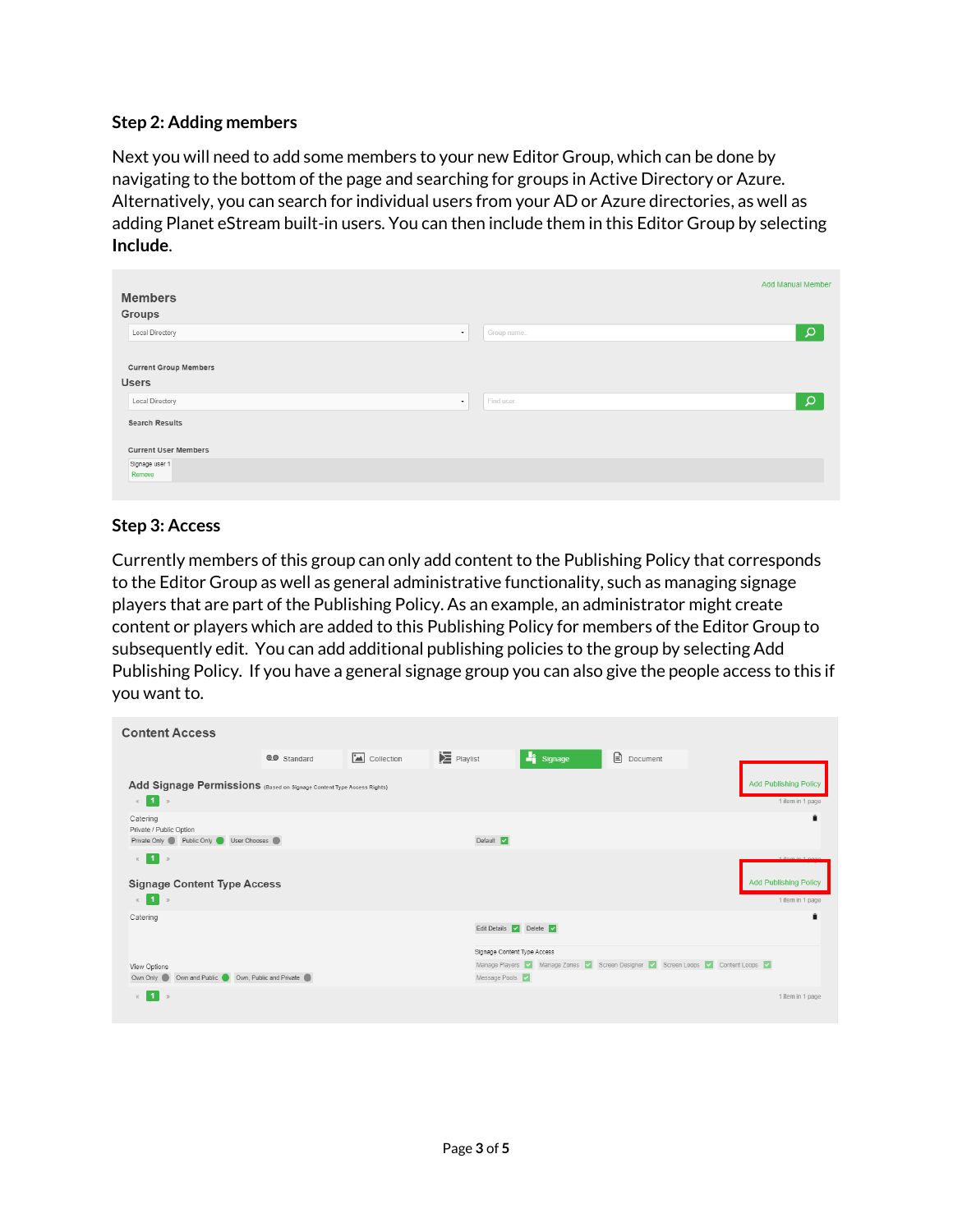#### **Step 2: Adding members**

Next you will need to add some members to your new Editor Group, which can be done by navigating to the bottom of the page and searching for groups in Active Directory or Azure. Alternatively, you can search for individual users from your AD or Azure directories, as well as adding Planet eStream built-in users. You can then include them in this Editor Group by selecting **Include**.

| <b>Add Manual Member</b>          |
|-----------------------------------|
|                                   |
|                                   |
| $\alpha$<br>Group name<br>$\cdot$ |
|                                   |
|                                   |
|                                   |
| $\alpha$<br>Find user<br>$\cdot$  |
|                                   |
|                                   |
|                                   |
|                                   |
|                                   |
|                                   |

### **Step 3: Access**

Currently members of this group can only add content to the Publishing Policy that corresponds to the Editor Group as well as general administrative functionality, such as managing signage players that are part of the Publishing Policy. As an example, an administrator might create content or players which are added to this Publishing Policy for members of the Editor Group to subsequently edit. You can add additional publishing policies to the group by selecting Add Publishing Policy. If you have a general signage group you can also give the people access to this if you want to.

| <b>Content Access</b>                                                                        |                                |                             |                         |                                                                                  |                                                  |
|----------------------------------------------------------------------------------------------|--------------------------------|-----------------------------|-------------------------|----------------------------------------------------------------------------------|--------------------------------------------------|
| <b>@@</b> Standard                                                                           | $\boxed{\triangle}$ Collection | $\sum$ Playlist             | $\frac{1}{2}$ Signage   | $\mathbf{r}$<br>Document                                                         |                                                  |
| Add Signage Permissions (Based on Signage Content Type Access Rights)<br>$\alpha$ 1 $\alpha$ |                                |                             |                         |                                                                                  | <b>Add Publishing Policy</b><br>1 item in 1 page |
| Catering<br>Private / Public Option<br>Private Only Public Only User Chooses                 |                                | Default V                   |                         |                                                                                  | Ê                                                |
| 1 <sup>1</sup><br>$\alpha$<br>$\gg$                                                          |                                |                             |                         |                                                                                  | 4 Hom in 4 none                                  |
| <b>Signage Content Type Access</b><br>1 <sub>1</sub><br>$\alpha$<br>$\gg$                    |                                |                             |                         |                                                                                  | <b>Add Publishing Policy</b><br>1 item in 1 page |
| Catering                                                                                     |                                |                             | Edit Details V Delete V |                                                                                  | Ê                                                |
|                                                                                              |                                | Signage Content Type Access |                         |                                                                                  |                                                  |
| View Options<br>Own Only Own and Public O Own, Public and Private                            |                                | Message Pools               |                         | Manage Players V Manage Zones V Screen Designer V Screen Loops V Content Loops V |                                                  |
| 1 <sup>1</sup><br>$\mathcal{D}$                                                              |                                |                             |                         |                                                                                  | 1 item in 1 page                                 |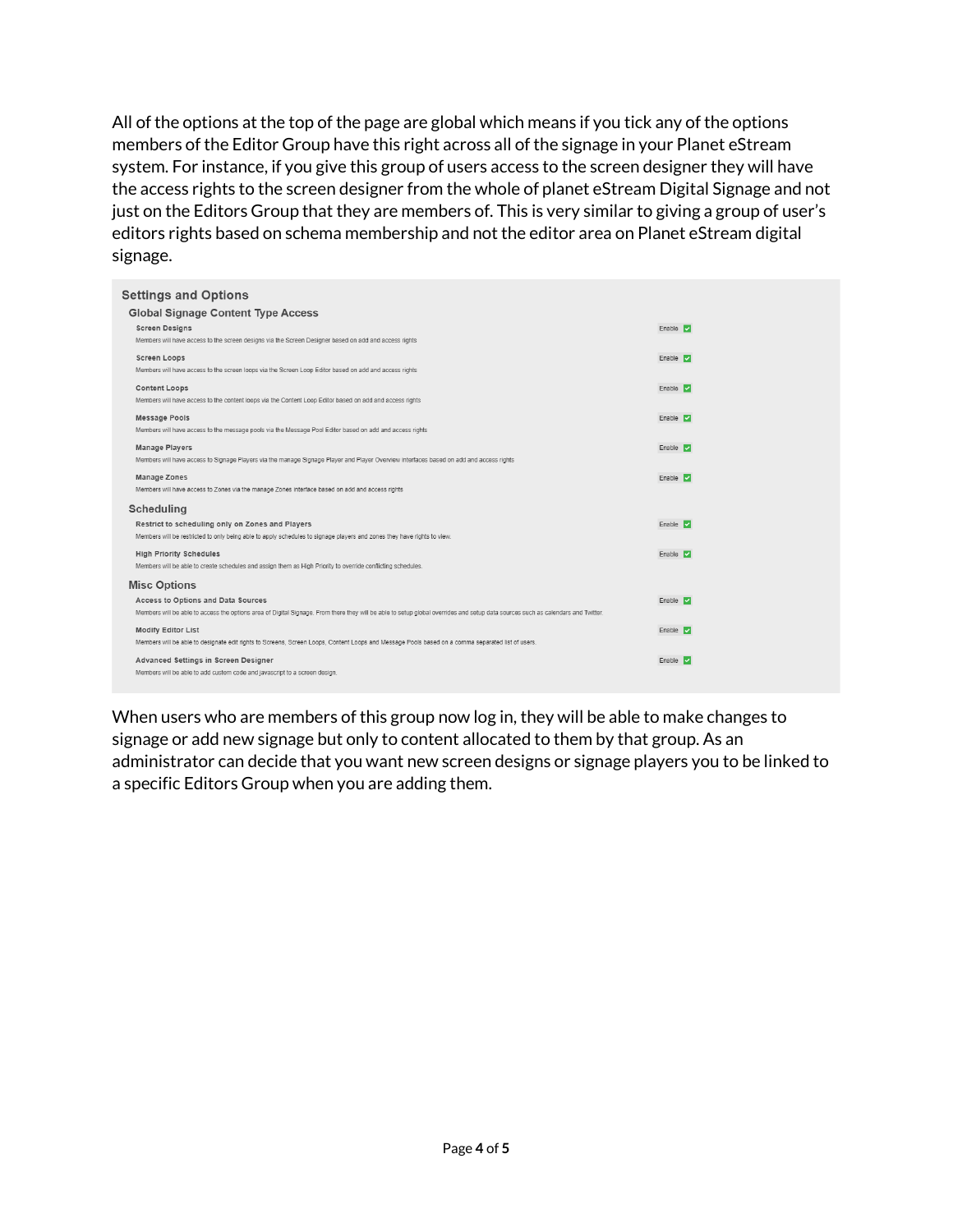All of the options at the top of the page are global which means if you tick any of the options members of the Editor Group have this right across all of the signage in your Planet eStream system. For instance, if you give this group of users access to the screen designer they will have the access rights to the screen designer from the whole of planet eStream Digital Signage and not just on the Editors Group that they are members of. This is very similar to giving a group of user's editors rights based on schema membership and not the editor area on Planet eStream digital signage.

| <b>Settings and Options</b>                                                                                                                                                                                            |                            |
|------------------------------------------------------------------------------------------------------------------------------------------------------------------------------------------------------------------------|----------------------------|
| <b>Global Signage Content Type Access</b><br><b>Screen Designs</b><br>Members will have access to the screen designs via the Screen Designer based on add and access rights                                            | Enable V                   |
| <b>Screen Loops</b><br>Members will have access to the screen loops via the Screen Loop Editor based on add and access rights                                                                                          | Enable V                   |
| <b>Content Loops</b><br>Members will have access to the content loops via the Content Loop Editor based on add and access rights                                                                                       | Enable V                   |
| <b>Message Pools</b><br>Members will have access to the message pools via the Message Pool Editor based on add and access rights                                                                                       | Enable V                   |
| Manage Players<br>Members will have access to Signage Players via the manage Signage Player and Player Overview interfaces based on add and access rights                                                              | Enable $\overline{\smile}$ |
| Manage Zones<br>Members will have access to Zones via the manage Zones interface based on add and access rights                                                                                                        | Enable V                   |
| Scheduling<br>Restrict to scheduling only on Zones and Players<br>Members will be restricted to only being able to apply schedules to signage players and zones they have rights to view.                              | Enable V                   |
| <b>High Priority Schedules</b><br>Members will be able to create schedules and assign them as High Priority to override conflicting schedules.                                                                         | Enable V                   |
| <b>Misc Options</b>                                                                                                                                                                                                    |                            |
| Access to Options and Data Sources<br>Members will be able to access the options area of Digital Signage. From there they will be able to setup global overrides and setup data sources such as calendars and Twitter. | Enable $ $                 |
| <b>Modify Editor List</b><br>Members will be able to designate edit rights to Screens, Screen Loops, Content Loops and Message Pools based on a comma separated list of users.                                         | Enable V                   |
| Advanced Settings in Screen Designer<br>Members will be able to add custom code and javascript to a screen design.                                                                                                     | Enable $\vee$              |

When users who are members of this group now log in, they will be able to make changes to signage or add new signage but only to content allocated to them by that group. As an administrator can decide that you want new screen designs or signage players you to be linked to a specific Editors Group when you are adding them.